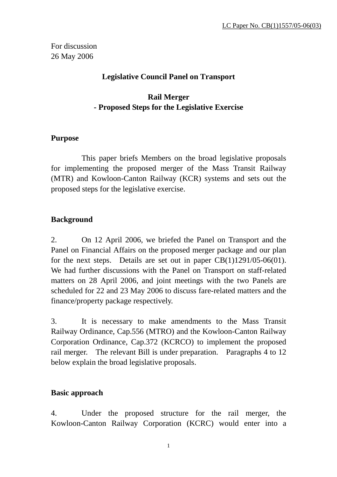For discussion 26 May 2006

### **Legislative Council Panel on Transport**

### **Rail Merger - Proposed Steps for the Legislative Exercise**

#### **Purpose**

 This paper briefs Members on the broad legislative proposals for implementing the proposed merger of the Mass Transit Railway (MTR) and Kowloon-Canton Railway (KCR) systems and sets out the proposed steps for the legislative exercise.

### **Background**

2. On 12 April 2006, we briefed the Panel on Transport and the Panel on Financial Affairs on the proposed merger package and our plan for the next steps. Details are set out in paper  $CB(1)1291/05-06(01)$ . We had further discussions with the Panel on Transport on staff-related matters on 28 April 2006, and joint meetings with the two Panels are scheduled for 22 and 23 May 2006 to discuss fare-related matters and the finance/property package respectively.

3. It is necessary to make amendments to the Mass Transit Railway Ordinance, Cap.556 (MTRO) and the Kowloon-Canton Railway Corporation Ordinance, Cap.372 (KCRCO) to implement the proposed rail merger. The relevant Bill is under preparation. Paragraphs 4 to 12 below explain the broad legislative proposals.

#### **Basic approach**

4. Under the proposed structure for the rail merger, the Kowloon-Canton Railway Corporation (KCRC) would enter into a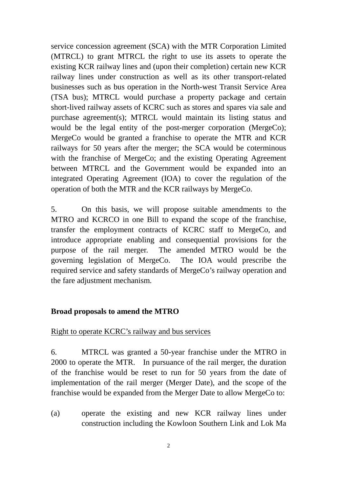service concession agreement (SCA) with the MTR Corporation Limited (MTRCL) to grant MTRCL the right to use its assets to operate the existing KCR railway lines and (upon their completion) certain new KCR railway lines under construction as well as its other transport-related businesses such as bus operation in the North-west Transit Service Area (TSA bus); MTRCL would purchase a property package and certain short-lived railway assets of KCRC such as stores and spares via sale and purchase agreement(s); MTRCL would maintain its listing status and would be the legal entity of the post-merger corporation (MergeCo); MergeCo would be granted a franchise to operate the MTR and KCR railways for 50 years after the merger; the SCA would be coterminous with the franchise of MergeCo; and the existing Operating Agreement between MTRCL and the Government would be expanded into an integrated Operating Agreement (IOA) to cover the regulation of the operation of both the MTR and the KCR railways by MergeCo.

5. On this basis, we will propose suitable amendments to the MTRO and KCRCO in one Bill to expand the scope of the franchise, transfer the employment contracts of KCRC staff to MergeCo, and introduce appropriate enabling and consequential provisions for the purpose of the rail merger. The amended MTRO would be the governing legislation of MergeCo. The IOA would prescribe the required service and safety standards of MergeCo's railway operation and the fare adjustment mechanism.

#### **Broad proposals to amend the MTRO**

#### Right to operate KCRC's railway and bus services

6. MTRCL was granted a 50-year franchise under the MTRO in 2000 to operate the MTR. In pursuance of the rail merger, the duration of the franchise would be reset to run for 50 years from the date of implementation of the rail merger (Merger Date), and the scope of the franchise would be expanded from the Merger Date to allow MergeCo to:

(a) operate the existing and new KCR railway lines under construction including the Kowloon Southern Link and Lok Ma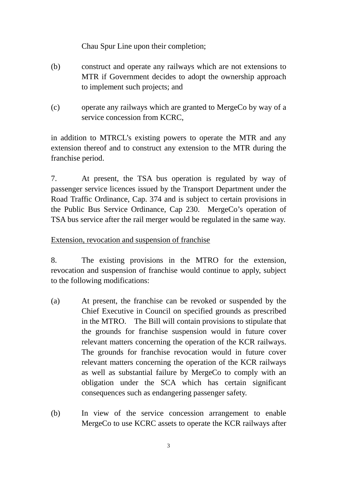Chau Spur Line upon their completion;

- (b) construct and operate any railways which are not extensions to MTR if Government decides to adopt the ownership approach to implement such projects; and
- (c) operate any railways which are granted to MergeCo by way of a service concession from KCRC,

in addition to MTRCL's existing powers to operate the MTR and any extension thereof and to construct any extension to the MTR during the franchise period.

7. At present, the TSA bus operation is regulated by way of passenger service licences issued by the Transport Department under the Road Traffic Ordinance, Cap. 374 and is subject to certain provisions in the Public Bus Service Ordinance, Cap 230. MergeCo's operation of TSA bus service after the rail merger would be regulated in the same way.

Extension, revocation and suspension of franchise

8. The existing provisions in the MTRO for the extension, revocation and suspension of franchise would continue to apply, subject to the following modifications:

- (a) At present, the franchise can be revoked or suspended by the Chief Executive in Council on specified grounds as prescribed in the MTRO. The Bill will contain provisions to stipulate that the grounds for franchise suspension would in future cover relevant matters concerning the operation of the KCR railways. The grounds for franchise revocation would in future cover relevant matters concerning the operation of the KCR railways as well as substantial failure by MergeCo to comply with an obligation under the SCA which has certain significant consequences such as endangering passenger safety.
- (b) In view of the service concession arrangement to enable MergeCo to use KCRC assets to operate the KCR railways after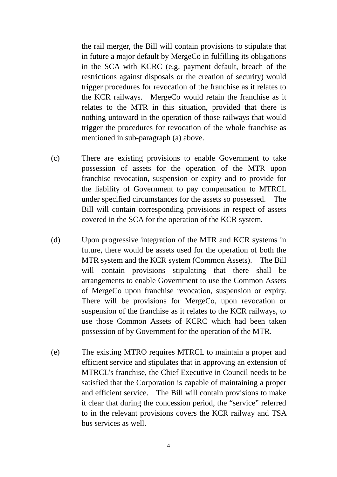the rail merger, the Bill will contain provisions to stipulate that in future a major default by MergeCo in fulfilling its obligations in the SCA with KCRC (e.g. payment default, breach of the restrictions against disposals or the creation of security) would trigger procedures for revocation of the franchise as it relates to the KCR railways. MergeCo would retain the franchise as it relates to the MTR in this situation, provided that there is nothing untoward in the operation of those railways that would trigger the procedures for revocation of the whole franchise as mentioned in sub-paragraph (a) above.

- (c) There are existing provisions to enable Government to take possession of assets for the operation of the MTR upon franchise revocation, suspension or expiry and to provide for the liability of Government to pay compensation to MTRCL under specified circumstances for the assets so possessed. The Bill will contain corresponding provisions in respect of assets covered in the SCA for the operation of the KCR system.
- (d) Upon progressive integration of the MTR and KCR systems in future, there would be assets used for the operation of both the MTR system and the KCR system (Common Assets). The Bill will contain provisions stipulating that there shall be arrangements to enable Government to use the Common Assets of MergeCo upon franchise revocation, suspension or expiry. There will be provisions for MergeCo, upon revocation or suspension of the franchise as it relates to the KCR railways, to use those Common Assets of KCRC which had been taken possession of by Government for the operation of the MTR.
- (e) The existing MTRO requires MTRCL to maintain a proper and efficient service and stipulates that in approving an extension of MTRCL's franchise, the Chief Executive in Council needs to be satisfied that the Corporation is capable of maintaining a proper and efficient service. The Bill will contain provisions to make it clear that during the concession period, the "service" referred to in the relevant provisions covers the KCR railway and TSA bus services as well.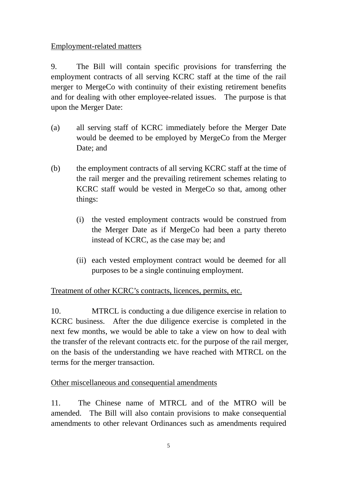### Employment-related matters

9. The Bill will contain specific provisions for transferring the employment contracts of all serving KCRC staff at the time of the rail merger to MergeCo with continuity of their existing retirement benefits and for dealing with other employee-related issues. The purpose is that upon the Merger Date:

- (a) all serving staff of KCRC immediately before the Merger Date would be deemed to be employed by MergeCo from the Merger Date; and
- (b) the employment contracts of all serving KCRC staff at the time of the rail merger and the prevailing retirement schemes relating to KCRC staff would be vested in MergeCo so that, among other things:
	- (i) the vested employment contracts would be construed from the Merger Date as if MergeCo had been a party thereto instead of KCRC, as the case may be; and
	- (ii) each vested employment contract would be deemed for all purposes to be a single continuing employment.

# Treatment of other KCRC's contracts, licences, permits, etc.

10. MTRCL is conducting a due diligence exercise in relation to KCRC business. After the due diligence exercise is completed in the next few months, we would be able to take a view on how to deal with the transfer of the relevant contracts etc. for the purpose of the rail merger, on the basis of the understanding we have reached with MTRCL on the terms for the merger transaction.

# Other miscellaneous and consequential amendments

11. The Chinese name of MTRCL and of the MTRO will be amended. The Bill will also contain provisions to make consequential amendments to other relevant Ordinances such as amendments required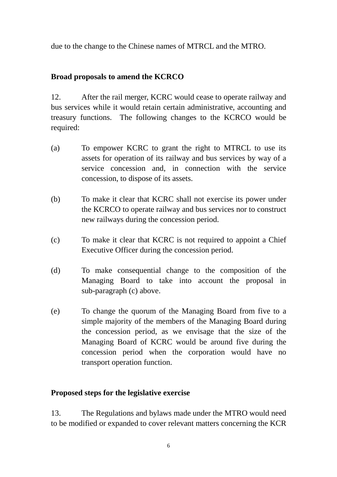due to the change to the Chinese names of MTRCL and the MTRO.

# **Broad proposals to amend the KCRCO**

12. After the rail merger, KCRC would cease to operate railway and bus services while it would retain certain administrative, accounting and treasury functions. The following changes to the KCRCO would be required:

- (a) To empower KCRC to grant the right to MTRCL to use its assets for operation of its railway and bus services by way of a service concession and, in connection with the service concession, to dispose of its assets.
- (b) To make it clear that KCRC shall not exercise its power under the KCRCO to operate railway and bus services nor to construct new railways during the concession period.
- (c) To make it clear that KCRC is not required to appoint a Chief Executive Officer during the concession period.
- (d) To make consequential change to the composition of the Managing Board to take into account the proposal in sub-paragraph (c) above.
- (e) To change the quorum of the Managing Board from five to a simple majority of the members of the Managing Board during the concession period, as we envisage that the size of the Managing Board of KCRC would be around five during the concession period when the corporation would have no transport operation function.

# **Proposed steps for the legislative exercise**

13. The Regulations and bylaws made under the MTRO would need to be modified or expanded to cover relevant matters concerning the KCR